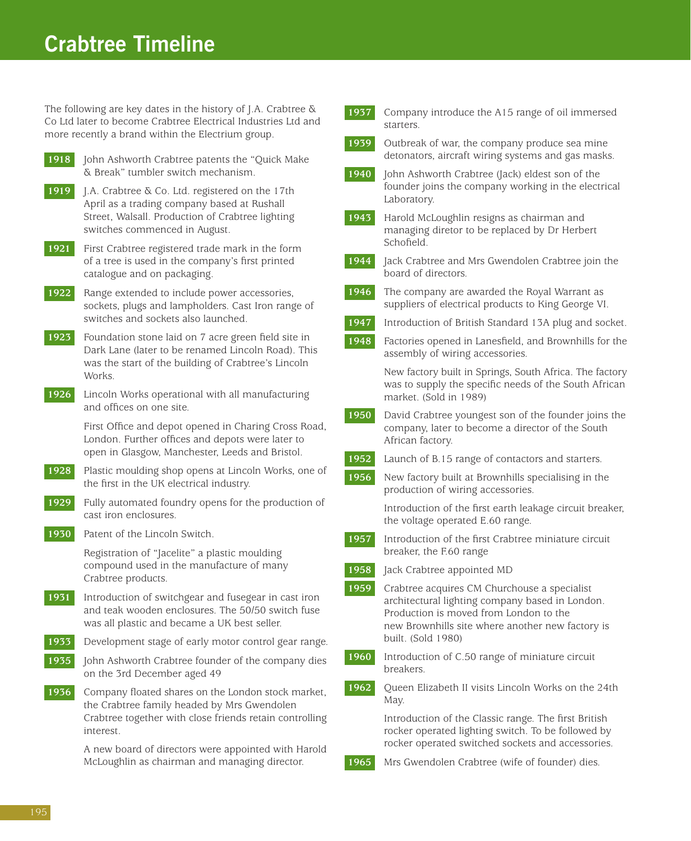## **Crabtree Timeline**

The following are key dates in the history of J.A. Crabtree & Co Ltd later to become Crabtree Electrical Industries Ltd and more recently a brand within the Electrium group.

- **1918** John Ashworth Crabtree patents the "Quick Make" & Break" tumbler switch mechanism.
- **1919** J.A. Crabtree & Co. Ltd. registered on the 17th April as a trading company based at Rushall Street, Walsall. Production of Crabtree lighting switches commenced in August.
- **1921** First Crabtree registered trade mark in the form of a tree is used in the company's first printed catalogue and on packaging.
- **1922** Range extended to include power accessories, sockets, plugs and lampholders. Cast Iron range of switches and sockets also launched.
- **1923** Foundation stone laid on 7 acre green field site in Dark Lane (later to be renamed Lincoln Road). This was the start of the building of Crabtree's Lincoln Works.
- **1926** Lincoln Works operational with all manufacturing and offices on one site.

First Office and depot opened in Charing Cross Road, London. Further offices and depots were later to open in Glasgow, Manchester, Leeds and Bristol.

- **1928** Plastic moulding shop opens at Lincoln Works, one of the first in the UK electrical industry.
- **1929** Fully automated foundry opens for the production of cast iron enclosures.
- **1930** Patent of the Lincoln Switch.

Registration of "Jacelite" a plastic moulding compound used in the manufacture of many Crabtree products.

- **1931** Introduction of switchgear and fusegear in cast iron and teak wooden enclosures. The 50/50 switch fuse was all plastic and became a UK best seller.
- **1933** Development stage of early motor control gear range.
- **1935** John Ashworth Crabtree founder of the company dies on the 3rd December aged 49
- **1936** Company floated shares on the London stock market, the Crabtree family headed by Mrs Gwendolen Crabtree together with close friends retain controlling interest.

**1936** A new board of directors were appointed with Harold McLoughlin as chairman and managing director.

| 1937 | Company introduce the A15 range of oil immersed<br>starters.                                                                                                                                                        |
|------|---------------------------------------------------------------------------------------------------------------------------------------------------------------------------------------------------------------------|
| 1939 | Outbreak of war, the company produce sea mine<br>detonators, aircraft wiring systems and gas masks.                                                                                                                 |
| 1940 | John Ashworth Crabtree (Jack) eldest son of the<br>founder joins the company working in the electrical<br>Laboratory.                                                                                               |
| 1943 | Harold McLoughlin resigns as chairman and<br>managing diretor to be replaced by Dr Herbert<br>Schofield.                                                                                                            |
| 1944 | Jack Crabtree and Mrs Gwendolen Crabtree join the<br>board of directors.                                                                                                                                            |
| 1946 | The company are awarded the Royal Warrant as<br>suppliers of electrical products to King George VI.                                                                                                                 |
| 1947 | Introduction of British Standard 13A plug and socket.                                                                                                                                                               |
| 1948 | Factories opened in Lanesfield, and Brownhills for the<br>assembly of wiring accessories.                                                                                                                           |
|      | New factory built in Springs, South Africa. The factory<br>was to supply the specific needs of the South African<br>market. (Sold in 1989)                                                                          |
| 1950 | David Crabtree youngest son of the founder joins the<br>company, later to become a director of the South<br>African factory.                                                                                        |
| 1952 | Launch of B.15 range of contactors and starters.                                                                                                                                                                    |
| 1956 | New factory built at Brownhills specialising in the<br>production of wiring accessories.                                                                                                                            |
|      | Introduction of the first earth leakage circuit breaker,<br>the voltage operated E.60 range.                                                                                                                        |
| 1957 | Introduction of the first Crabtree miniature circuit<br>breaker, the F.60 range                                                                                                                                     |
| 1958 | Jack Crabtree appointed MD                                                                                                                                                                                          |
| 1959 | Crabtree acquires CM Churchouse a specialist<br>architectural lighting company based in London.<br>Production is moved from London to the<br>new Brownhills site where another new factory is<br>built. (Sold 1980) |
| 1960 | Introduction of C.50 range of miniature circuit<br>breakers.                                                                                                                                                        |
| 1962 | Queen Elizabeth II visits Lincoln Works on the 24th<br>May.                                                                                                                                                         |
|      | Introduction of the Classic range. The first British<br>rocker operated lighting switch. To be followed by<br>rocker operated switched sockets and accessories.                                                     |
| 1965 | Mrs Gwendolen Crabtree (wife of founder) dies.                                                                                                                                                                      |